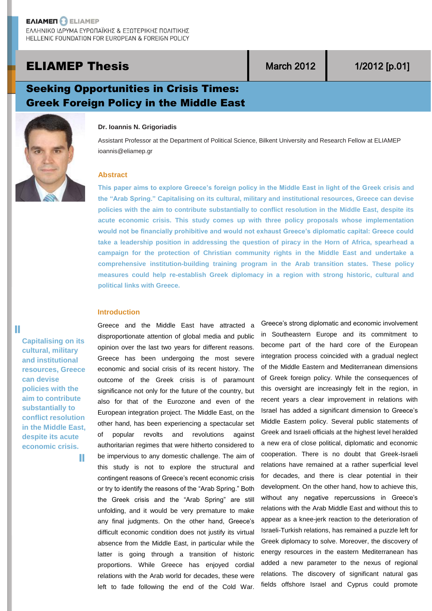# **ELIAMEP Thesis Network Network 1/2012** [p.01]

# Seeking Opportunities in Crisis Times: Greek Foreign Policy in the Middle East



#### **Dr. Ioannis N. Grigoriadis**

Assistant Professor at the Department of Political Science, Bilkent University and Research Fellow at ELIAMEP ioannis@eliamep.gr

## **Abstract**

**This paper aims to explore Greece's foreign policy in the Middle East in light of the Greek crisis and the "Arab Spring." Capitalising on its cultural, military and institutional resources, Greece can devise policies with the aim to contribute substantially to conflict resolution in the Middle East, despite its acute economic crisis. This study comes up with three policy proposals whose implementation would not be financially prohibitive and would not exhaust Greece's diplomatic capital: Greece could take a leadership position in addressing the question of piracy in the Horn of Africa, spearhead a campaign for the protection of Christian community rights in the Middle East and undertake a comprehensive institution-building training program in the Arab transition states. These policy measures could help re-establish Greek diplomacy in a region with strong historic, cultural and political links with Greece.**

## **Introduction**

**Capitalising on its cultural, military and institutional resources, Greece can devise policies with the aim to contribute substantially to conflict resolution in the Middle East, despite its acute economic crisis.**

Ш

T.

Greece and the Middle East have attracted a disproportionate attention of global media and public opinion over the last two years for different reasons. Greece has been undergoing the most severe economic and social crisis of its recent history. The outcome of the Greek crisis is of paramount significance not only for the future of the country, but also for that of the Eurozone and even of the European integration project. The Middle East, on the other hand, has been experiencing a spectacular set of popular revolts and revolutions against authoritarian regimes that were hitherto considered to be impervious to any domestic challenge. The aim of this study is not to explore the structural and contingent reasons of Greece's recent economic crisis or try to identify the reasons of the "Arab Spring." Both the Greek crisis and the "Arab Spring" are still unfolding, and it would be very premature to make any final judgments. On the other hand, Greece's difficult economic condition does not justify its virtual absence from the Middle East, in particular while the latter is going through a transition of historic proportions. While Greece has enjoyed cordial relations with the Arab world for decades, these were left to fade following the end of the Cold War.

Greece's strong diplomatic and economic involvement in Southeastern Europe and its commitment to become part of the hard core of the European integration process coincided with a gradual neglect of the Middle Eastern and Mediterranean dimensions of Greek foreign policy. While the consequences of this oversight are increasingly felt in the region, in recent years a clear improvement in relations with Israel has added a significant dimension to Greece's Middle Eastern policy. Several public statements of Greek and Israeli officials at the highest level heralded a new era of close political, diplomatic and economic cooperation. There is no doubt that Greek-Israeli relations have remained at a rather superficial level for decades, and there is clear potential in their development. On the other hand, how to achieve this, without any negative repercussions in Greece's relations with the Arab Middle East and without this to appear as a knee-jerk reaction to the deterioration of Israeli-Turkish relations, has remained a puzzle left for Greek diplomacy to solve. Moreover, the discovery of energy resources in the eastern Mediterranean has added a new parameter to the nexus of regional relations. The discovery of significant natural gas fields offshore Israel and Cyprus could promote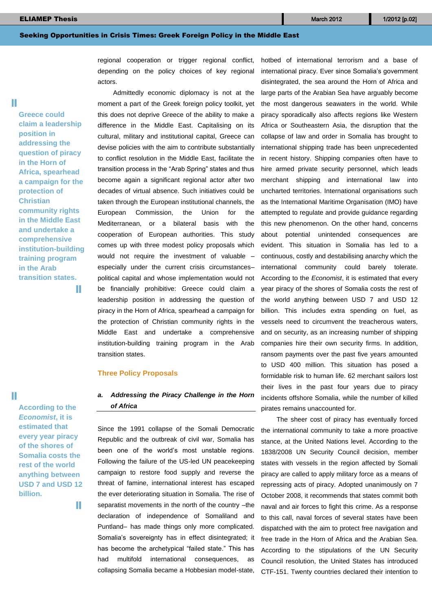regional cooperation or trigger regional conflict, depending on the policy choices of key regional actors.

Admittedly economic diplomacy is not at the moment a part of the Greek foreign policy toolkit, yet this does not deprive Greece of the ability to make a difference in the Middle East. Capitalising on its cultural, military and institutional capital, Greece can devise policies with the aim to contribute substantially to conflict resolution in the Middle East, facilitate the transition process in the "Arab Spring" states and thus become again a significant regional actor after two decades of virtual absence. Such initiatives could be taken through the European institutional channels, the European Commission, the Union for the Mediterranean, or a bilateral basis with the cooperation of European authorities. This study comes up with three modest policy proposals which would not require the investment of valuable – especially under the current crisis circumstances– political capital and whose implementation would not be financially prohibitive: Greece could claim a leadership position in addressing the question of piracy in the Horn of Africa, spearhead a campaign for the protection of Christian community rights in the Middle East and undertake a comprehensive institution-building training program in the Arab transition states.

#### **Three Policy Proposals**

# *a. Addressing the Piracy Challenge in the Horn of Africa*

Since the 1991 collapse of the Somali Democratic Republic and the outbreak of civil war, Somalia has been one of the world's most unstable regions. Following the failure of the US-led UN peacekeeping campaign to restore food supply and reverse the threat of famine, international interest has escaped the ever deteriorating situation in Somalia. The rise of separatist movements in the north of the country –the declaration of independence of Somaliland and Puntland– has made things only more complicated. Somalia's sovereignty has in effect disintegrated; it has become the archetypical "failed state." This has had multifold international consequences, as collapsing Somalia became a Hobbesian model-state, hotbed of international terrorism and a base of international piracy. Ever since Somalia's government disintegrated, the sea around the Horn of Africa and large parts of the Arabian Sea have arguably become the most dangerous seawaters in the world. While piracy sporadically also affects regions like Western Africa or Southeastern Asia, the disruption that the collapse of law and order in Somalia has brought to international shipping trade has been unprecedented in recent history. Shipping companies often have to hire armed private security personnel, which leads merchant shipping and international law into uncharted territories. International organisations such as the International Maritime Organisation (IMO) have attempted to regulate and provide guidance regarding this new phenomenon. On the other hand, concerns about potential unintended consequences are evident. This situation in Somalia has led to a continuous, costly and destabilising anarchy which the international community could barely tolerate. According to the *Economist*, it is estimated that every year piracy of the shores of Somalia costs the rest of the world anything between USD 7 and USD 12 billion. This includes extra spending on fuel, as vessels need to circumvent the treacherous waters, and on security, as an increasing number of shipping companies hire their own security firms. In addition, ransom payments over the past five years amounted to USD 400 million. This situation has posed a formidable risk to human life. 62 merchant sailors lost their lives in the past four years due to piracy incidents offshore Somalia, while the number of killed pirates remains unaccounted for.

The sheer cost of piracy has eventually forced the international community to take a more proactive stance, at the United Nations level. According to the 1838/2008 UN Security Council decision, member states with vessels in the region affected by Somali piracy are called to apply military force as a means of repressing acts of piracy. Adopted unanimously on 7 October 2008, it recommends that states commit both naval and air forces to fight this crime. As a response to this call, naval forces of several states have been dispatched with the aim to protect free navigation and free trade in the Horn of Africa and the Arabian Sea. According to the stipulations of the UN Security Council resolution, the United States has introduced CTF-151. Twenty countries declared their intention to

Ш

**Greece could claim a leadership position in addressing the question of piracy in the Horn of Africa, spearhead a campaign for the protection of Christian community rights in the Middle East and undertake a comprehensive institution-building training program in the Arab transition states.**

T.

**According to the**  *Economist***, it is estimated that every year piracy of the shores of Somalia costs the rest of the world anything between USD 7 and USD 12 billion.**

W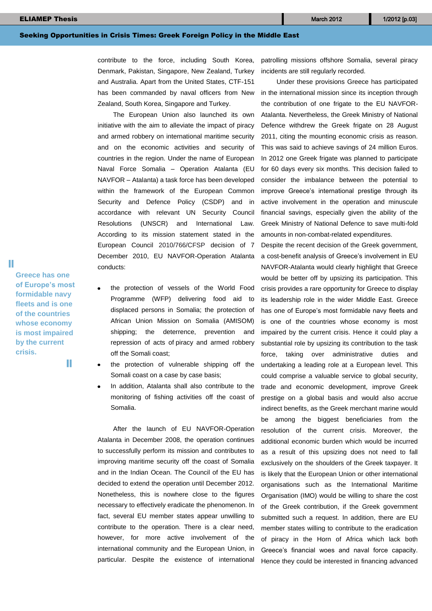contribute to the force, including South Korea, Denmark, Pakistan, Singapore, New Zealand, Turkey and Australia. Apart from the United States, CTF-151 has been commanded by naval officers from New Zealand, South Korea, Singapore and Turkey.

The European Union also launched its own initiative with the aim to alleviate the impact of piracy and armed robbery on international maritime security and on the economic activities and security of countries in the region. Under the name of European Naval Force Somalia – Operation Atalanta (EU NAVFOR – Atalanta) a task force has been developed within the framework of the European Common Security and Defence Policy (CSDP) and in accordance with relevant UN Security Council Resolutions (UNSCR) and International Law. According to its mission statement stated in the European Council 2010/766/CFSP decision of 7 December 2010, EU NAVFOR-Operation Atalanta conducts:

- the protection of vessels of the World Food Programme (WFP) delivering food aid to displaced persons in Somalia; the protection of African Union Mission on Somalia (AMISOM) shipping; the deterrence, prevention and repression of acts of piracy and armed robbery off the Somali coast;
- the protection of vulnerable shipping off the Somali coast on a case by case basis;
- In addition, Atalanta shall also contribute to the monitoring of fishing activities off the coast of Somalia.

After the launch of EU NAVFOR-Operation Atalanta in December 2008, the operation continues to successfully perform its mission and contributes to improving maritime security off the coast of Somalia and in the Indian Ocean. The Council of the EU has decided to extend the operation until December 2012. Nonetheless, this is nowhere close to the figures necessary to effectively eradicate the phenomenon. In fact, several EU member states appear unwilling to contribute to the operation. There is a clear need, however, for more active involvement of the international community and the European Union, in particular. Despite the existence of international

patrolling missions offshore Somalia, several piracy incidents are still regularly recorded.

Under these provisions Greece has participated in the international mission since its inception through the contribution of one frigate to the EU NAVFOR-Atalanta. Nevertheless, the Greek Ministry of National Defence withdrew the Greek frigate on 28 August 2011, citing the mounting economic crisis as reason. This was said to achieve savings of 24 million Euros. In 2012 one Greek frigate was planned to participate for 60 days every six months. This decision failed to consider the imbalance between the potential to improve Greece's international prestige through its active involvement in the operation and minuscule financial savings, especially given the ability of the Greek Ministry of National Defence to save multi-fold amounts in non-combat-related expenditures.

Despite the recent decision of the Greek government, a cost-benefit analysis of Greece's involvement in EU NAVFOR-Atalanta would clearly highlight that Greece would be better off by upsizing its participation. This crisis provides a rare opportunity for Greece to display its leadership role in the wider Middle East. Greece has one of Europe's most formidable navy fleets and is one of the countries whose economy is most impaired by the current crisis. Hence it could play a substantial role by upsizing its contribution to the task force, taking over administrative duties and undertaking a leading role at a European level. This could comprise a valuable service to global security, trade and economic development, improve Greek prestige on a global basis and would also accrue indirect benefits, as the Greek merchant marine would be among the biggest beneficiaries from the resolution of the current crisis. Moreover, the additional economic burden which would be incurred as a result of this upsizing does not need to fall exclusively on the shoulders of the Greek taxpayer. It is likely that the European Union or other international organisations such as the International Maritime Organisation (IMO) would be willing to share the cost of the Greek contribution, if the Greek government submitted such a request. In addition, there are EU member states willing to contribute to the eradication of piracy in the Horn of Africa which lack both Greece's financial woes and naval force capacity. Hence they could be interested in financing advanced

Ш

**of Europe's most formidable navy fleets and is one of the countries whose economy is most impaired by the current crisis.**

**Greece has one** 

Ш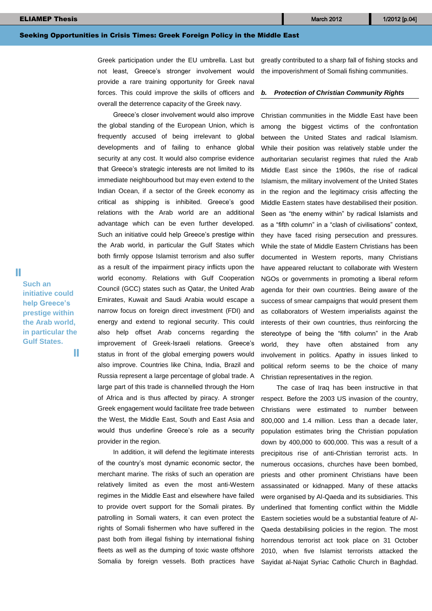Greek participation under the EU umbrella. Last but not least, Greece's stronger involvement would provide a rare training opportunity for Greek naval forces. This could improve the skills of officers and overall the deterrence capacity of the Greek navy.

Greece's closer involvement would also improve the global standing of the European Union, which is frequently accused of being irrelevant to global developments and of failing to enhance global security at any cost. It would also comprise evidence that Greece's strategic interests are not limited to its immediate neighbourhood but may even extend to the Indian Ocean, if a sector of the Greek economy as critical as shipping is inhibited. Greece's good relations with the Arab world are an additional advantage which can be even further developed. Such an initiative could help Greece's prestige within the Arab world, in particular the Gulf States which both firmly oppose Islamist terrorism and also suffer as a result of the impairment piracy inflicts upon the world economy. Relations with Gulf Cooperation Council (GCC) states such as Qatar, the United Arab Emirates, Kuwait and Saudi Arabia would escape a narrow focus on foreign direct investment (FDI) and energy and extend to regional security. This could also help offset Arab concerns regarding the improvement of Greek-Israeli relations. Greece's status in front of the global emerging powers would also improve. Countries like China, India, Brazil and Russia represent a large percentage of global trade. A large part of this trade is channelled through the Horn of Africa and is thus affected by piracy. A stronger Greek engagement would facilitate free trade between the West, the Middle East, South and East Asia and would thus underline Greece's role as a security provider in the region.

In addition, it will defend the legitimate interests of the country's most dynamic economic sector, the merchant marine. The risks of such an operation are relatively limited as even the most anti-Western regimes in the Middle East and elsewhere have failed to provide overt support for the Somali pirates. By patrolling in Somali waters, it can even protect the rights of Somali fishermen who have suffered in the past both from illegal fishing by international fishing fleets as well as the dumping of toxic waste offshore Somalia by foreign vessels. Both practices have

greatly contributed to a sharp fall of fishing stocks and the impoverishment of Somali fishing communities.

#### *b. Protection of Christian Community Rights*

Christian communities in the Middle East have been among the biggest victims of the confrontation between the United States and radical Islamism. While their position was relatively stable under the authoritarian secularist regimes that ruled the Arab Middle East since the 1960s, the rise of radical Islamism, the military involvement of the United States in the region and the legitimacy crisis affecting the Middle Eastern states have destabilised their position. Seen as "the enemy within" by radical Islamists and as a "fifth column" in a "clash of civilisations" context, they have faced rising persecution and pressures. While the state of Middle Eastern Christians has been documented in Western reports, many Christians have appeared reluctant to collaborate with Western NGOs or governments in promoting a liberal reform agenda for their own countries. Being aware of the success of smear campaigns that would present them as collaborators of Western imperialists against the interests of their own countries, thus reinforcing the stereotype of being the "fifth column" in the Arab world, they have often abstained from any involvement in politics. Apathy in issues linked to political reform seems to be the choice of many Christian representatives in the region.

The case of Iraq has been instructive in that respect. Before the 2003 US invasion of the country, Christians were estimated to number between 800,000 and 1.4 million. Less than a decade later, population estimates bring the Christian population down by 400,000 to 600,000. This was a result of a precipitous rise of anti-Christian terrorist acts. In numerous occasions, churches have been bombed, priests and other prominent Christians have been assassinated or kidnapped. Many of these attacks were organised by Al-Qaeda and its subsidiaries. This underlined that fomenting conflict within the Middle Eastern societies would be a substantial feature of Al-Qaeda destabilising policies in the region. The most horrendous terrorist act took place on 31 October 2010, when five Islamist terrorists attacked the Sayidat al-Najat Syriac Catholic Church in Baghdad.

Ŧ

**Such an initiative could help Greece's prestige within the Arab world, in particular the Gulf States.**

H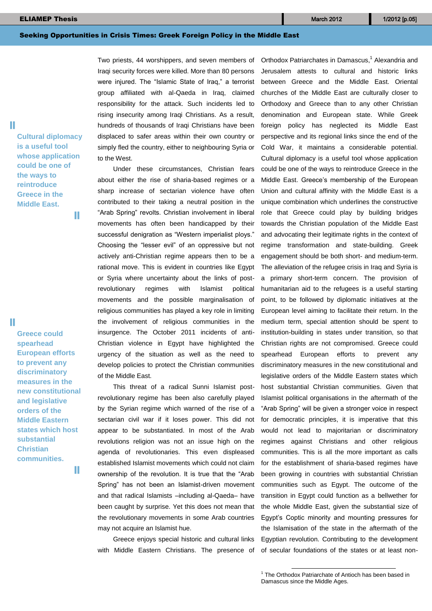Ш

H

**Cultural diplomacy is a useful tool whose application could be one of the ways to reintroduce Greece in the Middle East.**

W

**Greece could spearhead European efforts to prevent any discriminatory measures in the new constitutional and legislative orders of the Middle Eastern states which host substantial Christian communities.**

H.

Two priests, 44 worshippers, and seven members of Iraqi security forces were killed. More than 80 persons were injured. The "Islamic State of Iraq," a terrorist group affiliated with al-Qaeda in Iraq, claimed responsibility for the attack. Such incidents led to rising insecurity among Iraqi Christians. As a result, hundreds of thousands of Iraqi Christians have been displaced to safer areas within their own country or simply fled the country, either to neighbouring Syria or to the West.

Under these circumstances, Christian fears about either the rise of sharia-based regimes or a sharp increase of sectarian violence have often contributed to their taking a neutral position in the "Arab Spring" revolts. Christian involvement in liberal movements has often been handicapped by their successful denigration as "Western imperialist ploys." Choosing the "lesser evil" of an oppressive but not actively anti-Christian regime appears then to be a rational move. This is evident in countries like Egypt or Syria where uncertainty about the links of postrevolutionary regimes with Islamist political movements and the possible marginalisation of religious communities has played a key role in limiting the involvement of religious communities in the insurgence. The October 2011 incidents of anti-Christian violence in Egypt have highlighted the urgency of the situation as well as the need to develop policies to protect the Christian communities of the Middle East.

This threat of a radical Sunni Islamist postrevolutionary regime has been also carefully played by the Syrian regime which warned of the rise of a sectarian civil war if it loses power. This did not appear to be substantiated. In most of the Arab revolutions religion was not an issue high on the agenda of revolutionaries. This even displeased established Islamist movements which could not claim ownership of the revolution. It is true that the "Arab Spring" has not been an Islamist-driven movement and that radical Islamists –including al-Qaeda– have been caught by surprise. Yet this does not mean that the revolutionary movements in some Arab countries may not acquire an Islamist hue.

Greece enjoys special historic and cultural links with Middle Eastern Christians. The presence of

Orthodox Patriarchates in Damascus,<sup>1</sup> Alexandria and Jerusalem attests to cultural and historic links between Greece and the Middle East. Oriental churches of the Middle East are culturally closer to Orthodoxy and Greece than to any other Christian denomination and European state. While Greek foreign policy has neglected its Middle East perspective and its regional links since the end of the Cold War, it maintains a considerable potential. Cultural diplomacy is a useful tool whose application could be one of the ways to reintroduce Greece in the Middle East. Greece's membership of the European Union and cultural affinity with the Middle East is a unique combination which underlines the constructive role that Greece could play by building bridges towards the Christian population of the Middle East and advocating their legitimate rights in the context of regime transformation and state-building. Greek engagement should be both short- and medium-term. The alleviation of the refugee crisis in Iraq and Syria is a primary short-term concern. The provision of humanitarian aid to the refugees is a useful starting point, to be followed by diplomatic initiatives at the European level aiming to facilitate their return. In the medium term, special attention should be spent to institution-building in states under transition, so that Christian rights are not compromised. Greece could spearhead European efforts to prevent any discriminatory measures in the new constitutional and legislative orders of the Middle Eastern states which host substantial Christian communities. Given that Islamist political organisations in the aftermath of the "Arab Spring" will be given a stronger voice in respect for democratic principles, it is imperative that this would not lead to majoritarian or discriminatory regimes against Christians and other religious communities. This is all the more important as calls for the establishment of sharia-based regimes have been growing in countries with substantial Christian communities such as Egypt. The outcome of the transition in Egypt could function as a bellwether for the whole Middle East, given the substantial size of Egypt's Coptic minority and mounting pressures for the Islamisation of the state in the aftermath of the Egyptian revolution. Contributing to the development of secular foundations of the states or at least non-

-

<sup>&</sup>lt;sup>1</sup> The Orthodox Patriarchate of Antioch has been based in Damascus since the Middle Ages.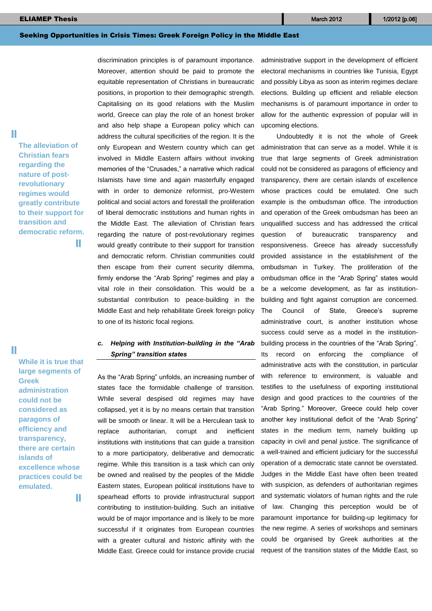#### **ELIAMEP Thesis 1/2012** [p.06] **The site of the site of the site of the site of the site of the site of the site of the site of the site of the site of the site of the site of the site of the site of the site of the site o**

## Seeking Opportunities in Crisis Times: Greek Foreign Policy in the Middle East

П

**The alleviation of Christian fears regarding the nature of postrevolutionary regimes would greatly contribute to their support for transition and democratic reform.** T.

П

**While it is true that large segments of Greek administration could not be considered as paragons of efficiency and transparency, there are certain islands of excellence whose practices could be emulated.**

T.

discrimination principles is of paramount importance. Moreover, attention should be paid to promote the equitable representation of Christians in bureaucratic positions, in proportion to their demographic strength. Capitalising on its good relations with the Muslim world, Greece can play the role of an honest broker and also help shape a European policy which can address the cultural specificities of the region. It is the only European and Western country which can get involved in Middle Eastern affairs without invoking memories of the "Crusades," a narrative which radical Islamists have time and again masterfully engaged with in order to demonize reformist, pro-Western political and social actors and forestall the proliferation of liberal democratic institutions and human rights in the Middle East. The alleviation of Christian fears regarding the nature of post-revolutionary regimes would greatly contribute to their support for transition and democratic reform. Christian communities could then escape from their current security dilemma, firmly endorse the "Arab Spring" regimes and play a vital role in their consolidation. This would be a substantial contribution to peace-building in the Middle East and help rehabilitate Greek foreign policy to one of its historic focal regions.

# *c. Helping with Institution-building in the "Arab Spring" transition states*

As the "Arab Spring" unfolds, an increasing number of states face the formidable challenge of transition. While several despised old regimes may have collapsed, yet it is by no means certain that transition will be smooth or linear. It will be a Herculean task to replace authoritarian, corrupt and inefficient institutions with institutions that can guide a transition to a more participatory, deliberative and democratic regime. While this transition is a task which can only be owned and realised by the peoples of the Middle Eastern states, European political institutions have to spearhead efforts to provide infrastructural support contributing to institution-building. Such an initiative would be of major importance and is likely to be more successful if it originates from European countries with a greater cultural and historic affinity with the Middle East. Greece could for instance provide crucial

administrative support in the development of efficient electoral mechanisms in countries like Tunisia, Egypt and possibly Libya as soon as interim regimes declare elections. Building up efficient and reliable election mechanisms is of paramount importance in order to allow for the authentic expression of popular will in upcoming elections.

Undoubtedly it is not the whole of Greek administration that can serve as a model. While it is true that large segments of Greek administration could not be considered as paragons of efficiency and transparency, there are certain islands of excellence whose practices could be emulated. One such example is the ombudsman office. The introduction and operation of the Greek ombudsman has been an unqualified success and has addressed the critical question of bureaucratic transparency and responsiveness. Greece has already successfully provided assistance in the establishment of the ombudsman in Turkey. The proliferation of the ombudsman office in the "Arab Spring" states would be a welcome development, as far as institutionbuilding and fight against corruption are concerned. The Council of State, Greece's supreme administrative court, is another institution whose success could serve as a model in the institutionbuilding process in the countries of the "Arab Spring". Its record on enforcing the compliance of administrative acts with the constitution, in particular with reference to environment, is valuable and testifies to the usefulness of exporting institutional design and good practices to the countries of the "Arab Spring." Moreover, Greece could help cover another key institutional deficit of the "Arab Spring" states in the medium term, namely building up capacity in civil and penal justice. The significance of a well-trained and efficient judiciary for the successful operation of a democratic state cannot be overstated. Judges in the Middle East have often been treated with suspicion, as defenders of authoritarian regimes and systematic violators of human rights and the rule of law. Changing this perception would be of paramount importance for building-up legitimacy for the new regime. A series of workshops and seminars could be organised by Greek authorities at the request of the transition states of the Middle East, so